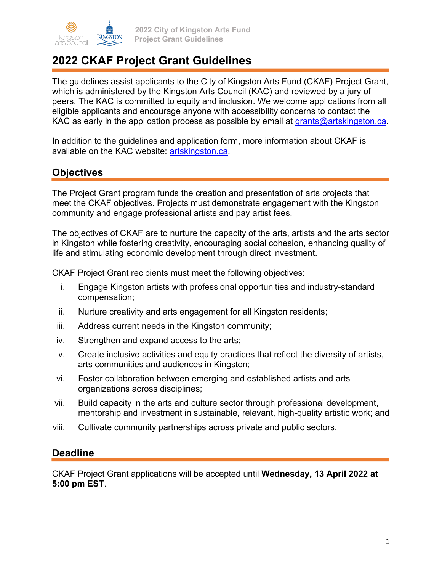

# **2022 CKAF Project Grant Guidelines**

The guidelines assist applicants to the City of Kingston Arts Fund (CKAF) Project Grant, which is administered by the Kingston Arts Council (KAC) and reviewed by a jury of peers. The KAC is committed to equity and inclusion. We welcome applications from all eligible applicants and encourage anyone with accessibility concerns to contact the KAC as early in the application process as possible by email at grants@artskingston.ca.

In addition to the guidelines and application form, more information about CKAF is available on the KAC website: artskingston.ca.

### **Objectives**

The Project Grant program funds the creation and presentation of arts projects that meet the CKAF objectives. Projects must demonstrate engagement with the Kingston community and engage professional artists and pay artist fees.

The objectives of CKAF are to nurture the capacity of the arts, artists and the arts sector in Kingston while fostering creativity, encouraging social cohesion, enhancing quality of life and stimulating economic development through direct investment.

CKAF Project Grant recipients must meet the following objectives:

- i. Engage Kingston artists with professional opportunities and industry-standard compensation;
- ii. Nurture creativity and arts engagement for all Kingston residents;
- iii. Address current needs in the Kingston community;
- iv. Strengthen and expand access to the arts;
- v. Create inclusive activities and equity practices that reflect the diversity of artists, arts communities and audiences in Kingston;
- vi. Foster collaboration between emerging and established artists and arts organizations across disciplines;
- vii. Build capacity in the arts and culture sector through professional development, mentorship and investment in sustainable, relevant, high-quality artistic work; and
- viii. Cultivate community partnerships across private and public sectors.

### **Deadline**

CKAF Project Grant applications will be accepted until **Wednesday, 13 April 2022 at 5:00 pm EST**.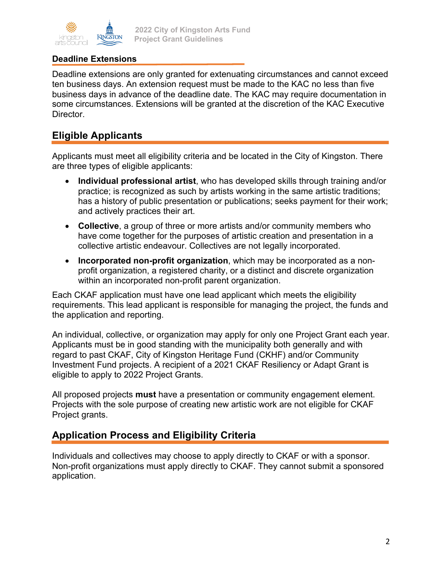

#### **2022 City of Kingston Arts Fund Project Grant Guidelines**

### **Deadline Extensions**

Deadline extensions are only granted for extenuating circumstances and cannot exceed ten business days. An extension request must be made to the KAC no less than five business days in advance of the deadline date. The KAC may require documentation in some circumstances. Extensions will be granted at the discretion of the KAC Executive Director.

### **Eligible Applicants**

Applicants must meet all eligibility criteria and be located in the City of Kingston. There are three types of eligible applicants:

- **Individual professional artist**, who has developed skills through training and/or practice; is recognized as such by artists working in the same artistic traditions; has a history of public presentation or publications; seeks payment for their work; and actively practices their art.
- **Collective**, a group of three or more artists and/or community members who have come together for the purposes of artistic creation and presentation in a collective artistic endeavour. Collectives are not legally incorporated.
- **Incorporated non-profit organization**, which may be incorporated as a nonprofit organization, a registered charity, or a distinct and discrete organization within an incorporated non-profit parent organization.

Each CKAF application must have one lead applicant which meets the eligibility requirements. This lead applicant is responsible for managing the project, the funds and the application and reporting.

An individual, collective, or organization may apply for only one Project Grant each year. Applicants must be in good standing with the municipality both generally and with regard to past CKAF, City of Kingston Heritage Fund (CKHF) and/or Community Investment Fund projects. A recipient of a 2021 CKAF Resiliency or Adapt Grant is eligible to apply to 2022 Project Grants.

All proposed projects **must** have a presentation or community engagement element. Projects with the sole purpose of creating new artistic work are not eligible for CKAF Project grants.

## **Application Process and Eligibility Criteria**

Individuals and collectives may choose to apply directly to CKAF or with a sponsor. Non-profit organizations must apply directly to CKAF. They cannot submit a sponsored application.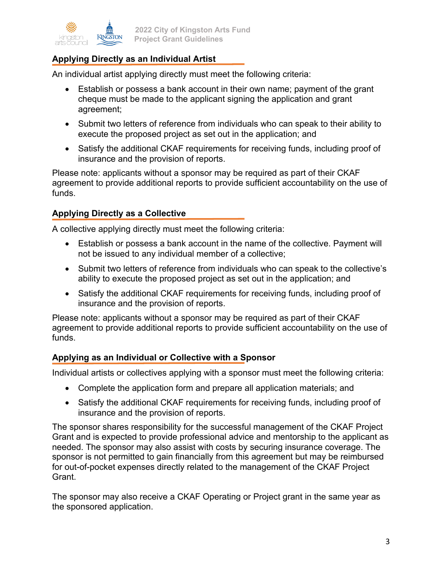

### **Applying Directly as an Individual Artist**

An individual artist applying directly must meet the following criteria:

- Establish or possess a bank account in their own name; payment of the grant cheque must be made to the applicant signing the application and grant agreement;
- Submit two letters of reference from individuals who can speak to their ability to execute the proposed project as set out in the application; and
- Satisfy the additional CKAF requirements for receiving funds, including proof of insurance and the provision of reports.

Please note: applicants without a sponsor may be required as part of their CKAF agreement to provide additional reports to provide sufficient accountability on the use of funds.

#### **Applying Directly as a Collective**

A collective applying directly must meet the following criteria:

- Establish or possess a bank account in the name of the collective. Payment will not be issued to any individual member of a collective;
- Submit two letters of reference from individuals who can speak to the collective's ability to execute the proposed project as set out in the application; and
- Satisfy the additional CKAF requirements for receiving funds, including proof of insurance and the provision of reports.

Please note: applicants without a sponsor may be required as part of their CKAF agreement to provide additional reports to provide sufficient accountability on the use of funds.

#### **Applying as an Individual or Collective with a Sponsor**

Individual artists or collectives applying with a sponsor must meet the following criteria:

- Complete the application form and prepare all application materials; and
- Satisfy the additional CKAF requirements for receiving funds, including proof of insurance and the provision of reports.

The sponsor shares responsibility for the successful management of the CKAF Project Grant and is expected to provide professional advice and mentorship to the applicant as needed. The sponsor may also assist with costs by securing insurance coverage. The sponsor is not permitted to gain financially from this agreement but may be reimbursed for out-of-pocket expenses directly related to the management of the CKAF Project Grant.

The sponsor may also receive a CKAF Operating or Project grant in the same year as the sponsored application.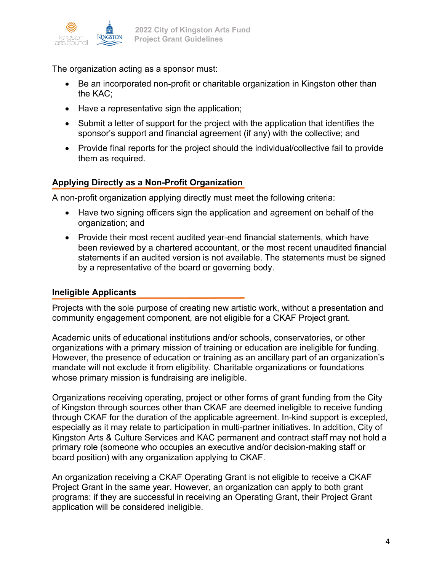

The organization acting as a sponsor must:

- Be an incorporated non-profit or charitable organization in Kingston other than the KAC;
- Have a representative sign the application;
- Submit a letter of support for the project with the application that identifies the sponsor's support and financial agreement (if any) with the collective; and
- Provide final reports for the project should the individual/collective fail to provide them as required.

#### **Applying Directly as a Non-Profit Organization**

A non-profit organization applying directly must meet the following criteria:

- Have two signing officers sign the application and agreement on behalf of the organization; and
- Provide their most recent audited year-end financial statements, which have been reviewed by a chartered accountant, or the most recent unaudited financial statements if an audited version is not available. The statements must be signed by a representative of the board or governing body.

#### **Ineligible Applicants**

Projects with the sole purpose of creating new artistic work, without a presentation and community engagement component, are not eligible for a CKAF Project grant.

Academic units of educational institutions and/or schools, conservatories, or other organizations with a primary mission of training or education are ineligible for funding. However, the presence of education or training as an ancillary part of an organization's mandate will not exclude it from eligibility. Charitable organizations or foundations whose primary mission is fundraising are ineligible.

Organizations receiving operating, project or other forms of grant funding from the City of Kingston through sources other than CKAF are deemed ineligible to receive funding through CKAF for the duration of the applicable agreement. In-kind support is excepted, especially as it may relate to participation in multi-partner initiatives. In addition, City of Kingston Arts & Culture Services and KAC permanent and contract staff may not hold a primary role (someone who occupies an executive and/or decision-making staff or board position) with any organization applying to CKAF.

An organization receiving a CKAF Operating Grant is not eligible to receive a CKAF Project Grant in the same year. However, an organization can apply to both grant programs: if they are successful in receiving an Operating Grant, their Project Grant application will be considered ineligible.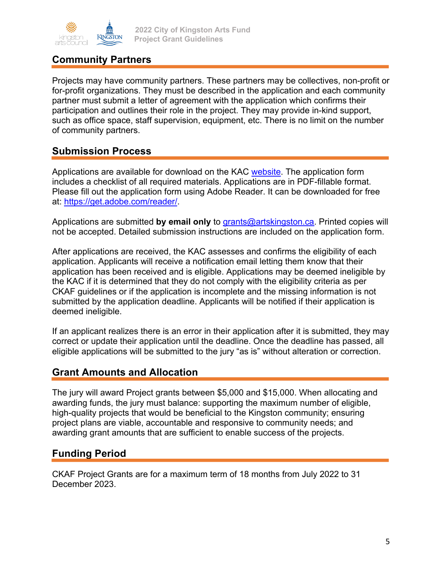

## **Community Partners**

Projects may have community partners. These partners may be collectives, non-profit or for-profit organizations. They must be described in the application and each community partner must submit a letter of agreement with the application which confirms their participation and outlines their role in the project. They may provide in-kind support, such as office space, staff supervision, equipment, etc. There is no limit on the number of community partners.

### **Submission Process**

Applications are available for download on the KAC website. The application form includes a checklist of all required materials. Applications are in PDF-fillable format. Please fill out the application form using Adobe Reader. It can be downloaded for free at: https://get.adobe.com/reader/.

Applications are submitted by email only to **grants@artskingston.ca**. Printed copies will not be accepted. Detailed submission instructions are included on the application form.

After applications are received, the KAC assesses and confirms the eligibility of each application. Applicants will receive a notification email letting them know that their application has been received and is eligible. Applications may be deemed ineligible by the KAC if it is determined that they do not comply with the eligibility criteria as per CKAF guidelines or if the application is incomplete and the missing information is not submitted by the application deadline. Applicants will be notified if their application is deemed ineligible.

If an applicant realizes there is an error in their application after it is submitted, they may correct or update their application until the deadline. Once the deadline has passed, all eligible applications will be submitted to the jury "as is" without alteration or correction.

### **Grant Amounts and Allocation**

The jury will award Project grants between \$5,000 and \$15,000. When allocating and awarding funds, the jury must balance: supporting the maximum number of eligible, high-quality projects that would be beneficial to the Kingston community; ensuring project plans are viable, accountable and responsive to community needs; and awarding grant amounts that are sufficient to enable success of the projects.

### **Funding Period**

CKAF Project Grants are for a maximum term of 18 months from July 2022 to 31 December 2023.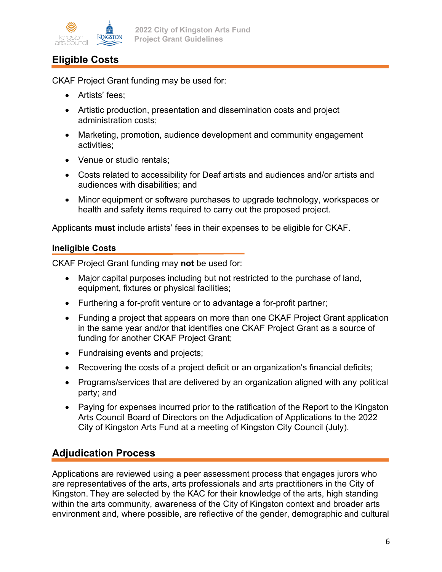

## **Eligible Costs**

CKAF Project Grant funding may be used for:

- Artists' fees;
- Artistic production, presentation and dissemination costs and project administration costs;
- Marketing, promotion, audience development and community engagement activities;
- Venue or studio rentals:
- Costs related to accessibility for Deaf artists and audiences and/or artists and audiences with disabilities; and
- Minor equipment or software purchases to upgrade technology, workspaces or health and safety items required to carry out the proposed project.

Applicants **must** include artists' fees in their expenses to be eligible for CKAF.

#### **Ineligible Costs**

CKAF Project Grant funding may **not** be used for:

- Major capital purposes including but not restricted to the purchase of land, equipment, fixtures or physical facilities;
- Furthering a for-profit venture or to advantage a for-profit partner;
- Funding a project that appears on more than one CKAF Project Grant application in the same year and/or that identifies one CKAF Project Grant as a source of funding for another CKAF Project Grant;
- Fundraising events and projects;
- Recovering the costs of a project deficit or an organization's financial deficits;
- Programs/services that are delivered by an organization aligned with any political party; and
- Paying for expenses incurred prior to the ratification of the Report to the Kingston Arts Council Board of Directors on the Adjudication of Applications to the 2022 City of Kingston Arts Fund at a meeting of Kingston City Council (July).

## **Adjudication Process**

Applications are reviewed using a peer assessment process that engages jurors who are representatives of the arts, arts professionals and arts practitioners in the City of Kingston. They are selected by the KAC for their knowledge of the arts, high standing within the arts community, awareness of the City of Kingston context and broader arts environment and, where possible, are reflective of the gender, demographic and cultural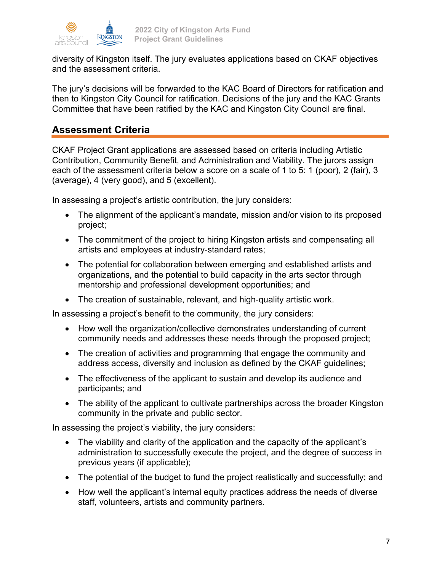

diversity of Kingston itself. The jury evaluates applications based on CKAF objectives and the assessment criteria.

The jury's decisions will be forwarded to the KAC Board of Directors for ratification and then to Kingston City Council for ratification. Decisions of the jury and the KAC Grants Committee that have been ratified by the KAC and Kingston City Council are final.

## **Assessment Criteria**

CKAF Project Grant applications are assessed based on criteria including Artistic Contribution, Community Benefit, and Administration and Viability. The jurors assign each of the assessment criteria below a score on a scale of 1 to 5: 1 (poor), 2 (fair), 3 (average), 4 (very good), and 5 (excellent).

In assessing a project's artistic contribution, the jury considers:

- The alignment of the applicant's mandate, mission and/or vision to its proposed project;
- The commitment of the project to hiring Kingston artists and compensating all artists and employees at industry-standard rates;
- The potential for collaboration between emerging and established artists and organizations, and the potential to build capacity in the arts sector through mentorship and professional development opportunities; and
- The creation of sustainable, relevant, and high-quality artistic work.

In assessing a project's benefit to the community, the jury considers:

- How well the organization/collective demonstrates understanding of current community needs and addresses these needs through the proposed project;
- The creation of activities and programming that engage the community and address access, diversity and inclusion as defined by the CKAF guidelines;
- The effectiveness of the applicant to sustain and develop its audience and participants; and
- The ability of the applicant to cultivate partnerships across the broader Kingston community in the private and public sector.

In assessing the project's viability, the jury considers:

- The viability and clarity of the application and the capacity of the applicant's administration to successfully execute the project, and the degree of success in previous years (if applicable);
- The potential of the budget to fund the project realistically and successfully; and
- How well the applicant's internal equity practices address the needs of diverse staff, volunteers, artists and community partners.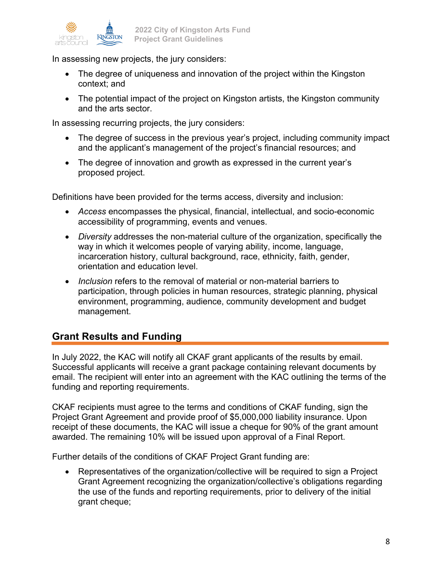

In assessing new projects, the jury considers:

- The degree of uniqueness and innovation of the project within the Kingston context; and
- The potential impact of the project on Kingston artists, the Kingston community and the arts sector.

In assessing recurring projects, the jury considers:

- The degree of success in the previous year's project, including community impact and the applicant's management of the project's financial resources; and
- The degree of innovation and growth as expressed in the current year's proposed project.

Definitions have been provided for the terms access, diversity and inclusion:

- *Access* encompasses the physical, financial, intellectual, and socio-economic accessibility of programming, events and venues.
- *Diversity* addresses the non-material culture of the organization, specifically the way in which it welcomes people of varying ability, income, language, incarceration history, cultural background, race, ethnicity, faith, gender, orientation and education level.
- *Inclusion* refers to the removal of material or non-material barriers to participation, through policies in human resources, strategic planning, physical environment, programming, audience, community development and budget management.

## **Grant Results and Funding**

In July 2022, the KAC will notify all CKAF grant applicants of the results by email. Successful applicants will receive a grant package containing relevant documents by email. The recipient will enter into an agreement with the KAC outlining the terms of the funding and reporting requirements.

CKAF recipients must agree to the terms and conditions of CKAF funding, sign the Project Grant Agreement and provide proof of \$5,000,000 liability insurance. Upon receipt of these documents, the KAC will issue a cheque for 90% of the grant amount awarded. The remaining 10% will be issued upon approval of a Final Report.

Further details of the conditions of CKAF Project Grant funding are:

• Representatives of the organization/collective will be required to sign a Project Grant Agreement recognizing the organization/collective's obligations regarding the use of the funds and reporting requirements, prior to delivery of the initial grant cheque;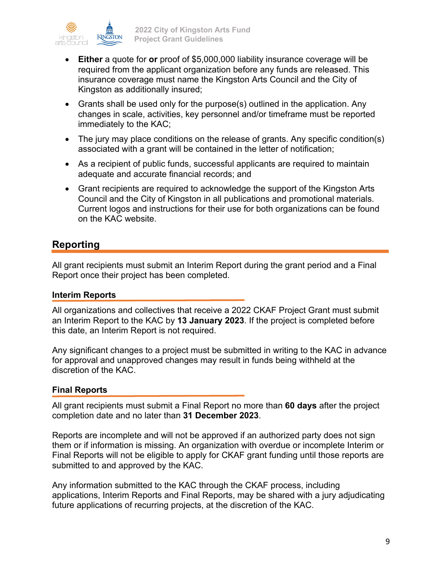

- **Either** a quote for **or** proof of \$5,000,000 liability insurance coverage will be required from the applicant organization before any funds are released. This insurance coverage must name the Kingston Arts Council and the City of Kingston as additionally insured;
- Grants shall be used only for the purpose(s) outlined in the application. Any changes in scale, activities, key personnel and/or timeframe must be reported immediately to the KAC;
- The jury may place conditions on the release of grants. Any specific condition(s) associated with a grant will be contained in the letter of notification;
- As a recipient of public funds, successful applicants are required to maintain adequate and accurate financial records; and
- Grant recipients are required to acknowledge the support of the Kingston Arts Council and the City of Kingston in all publications and promotional materials. Current logos and instructions for their use for both organizations can be found on the KAC website.

## **Reporting**

All grant recipients must submit an Interim Report during the grant period and a Final Report once their project has been completed.

### **Interim Reports**

All organizations and collectives that receive a 2022 CKAF Project Grant must submit an Interim Report to the KAC by **13 January 2023**. If the project is completed before this date, an Interim Report is not required.

Any significant changes to a project must be submitted in writing to the KAC in advance for approval and unapproved changes may result in funds being withheld at the discretion of the KAC.

### **Final Reports**

All grant recipients must submit a Final Report no more than **60 days** after the project completion date and no later than **31 December 2023**.

Reports are incomplete and will not be approved if an authorized party does not sign them or if information is missing. An organization with overdue or incomplete Interim or Final Reports will not be eligible to apply for CKAF grant funding until those reports are submitted to and approved by the KAC.

Any information submitted to the KAC through the CKAF process, including applications, Interim Reports and Final Reports, may be shared with a jury adjudicating future applications of recurring projects, at the discretion of the KAC.